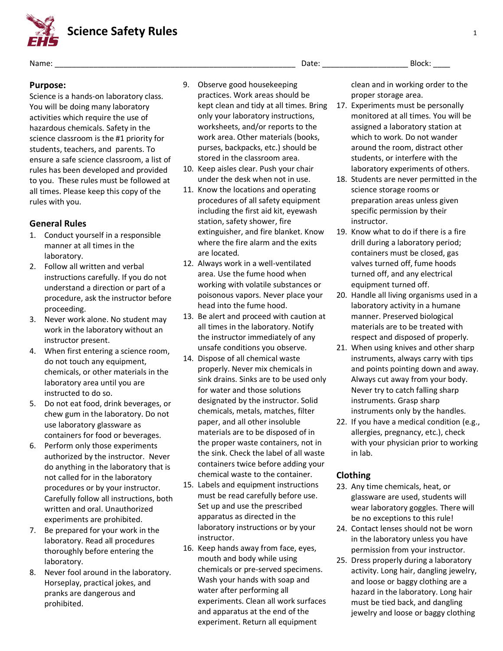**Science Safety Rules** <sup>1</sup>

Name: \_\_\_\_\_\_\_\_\_\_\_\_\_\_\_\_\_\_\_\_\_\_\_\_\_\_\_\_\_\_\_\_\_\_\_\_\_\_\_\_\_\_\_\_\_\_\_\_\_\_\_\_\_\_\_\_ Date: \_\_\_\_\_\_\_\_\_\_\_\_\_\_\_\_\_\_\_\_ Block: \_\_\_\_

## **Purpose:**

Science is a hands-on laboratory class. You will be doing many laboratory activities which require the use of hazardous chemicals. Safety in the science classroom is the #1 priority for students, teachers, and parents. To ensure a safe science classroom, a list of rules has been developed and provided to you. These rules must be followed at all times. Please keep this copy of the rules with you.

# **General Rules**

- 1. Conduct yourself in a responsible manner at all times in the laboratory.
- 2. Follow all written and verbal instructions carefully. If you do not understand a direction or part of a procedure, ask the instructor before proceeding.
- 3. Never work alone. No student may work in the laboratory without an instructor present.
- 4. When first entering a science room, do not touch any equipment, chemicals, or other materials in the laboratory area until you are instructed to do so.
- 5. Do not eat food, drink beverages, or chew gum in the laboratory. Do not use laboratory glassware as containers for food or beverages.
- 6. Perform only those experiments authorized by the instructor. Never do anything in the laboratory that is not called for in the laboratory procedures or by your instructor. Carefully follow all instructions, both written and oral. Unauthorized experiments are prohibited.
- 7. Be prepared for your work in the laboratory. Read all procedures thoroughly before entering the laboratory.
- 8. Never fool around in the laboratory. Horseplay, practical jokes, and pranks are dangerous and prohibited.
- 9. Observe good housekeeping practices. Work areas should be kept clean and tidy at all times. Bring only your laboratory instructions, worksheets, and/or reports to the work area. Other materials (books, purses, backpacks, etc.) should be stored in the classroom area.
- 10. Keep aisles clear. Push your chair under the desk when not in use.
- 11. Know the locations and operating procedures of all safety equipment including the first aid kit, eyewash station, safety shower, fire extinguisher, and fire blanket. Know where the fire alarm and the exits are located.
- 12. Always work in a well-ventilated area. Use the fume hood when working with volatile substances or poisonous vapors. Never place your head into the fume hood.
- 13. Be alert and proceed with caution at all times in the laboratory. Notify the instructor immediately of any unsafe conditions you observe.
- 14. Dispose of all chemical waste properly. Never mix chemicals in sink drains. Sinks are to be used only for water and those solutions designated by the instructor. Solid chemicals, metals, matches, filter paper, and all other insoluble materials are to be disposed of in the proper waste containers, not in the sink. Check the label of all waste containers twice before adding your chemical waste to the container.
- 15. Labels and equipment instructions must be read carefully before use. Set up and use the prescribed apparatus as directed in the laboratory instructions or by your instructor.
- 16. Keep hands away from face, eyes, mouth and body while using chemicals or pre-served specimens. Wash your hands with soap and water after performing all experiments. Clean all work surfaces and apparatus at the end of the experiment. Return all equipment

clean and in working order to the proper storage area.

- 17. Experiments must be personally monitored at all times. You will be assigned a laboratory station at which to work. Do not wander around the room, distract other students, or interfere with the laboratory experiments of others.
- 18. Students are never permitted in the science storage rooms or preparation areas unless given specific permission by their instructor.
- 19. Know what to do if there is a fire drill during a laboratory period; containers must be closed, gas valves turned off, fume hoods turned off, and any electrical equipment turned off.
- 20. Handle all living organisms used in a laboratory activity in a humane manner. Preserved biological materials are to be treated with respect and disposed of properly.
- 21. When using knives and other sharp instruments, always carry with tips and points pointing down and away. Always cut away from your body. Never try to catch falling sharp instruments. Grasp sharp instruments only by the handles.
- 22. If you have a medical condition (e.g., allergies, pregnancy, etc.), check with your physician prior to working in lab.

### **Clothing**

- 23. Any time chemicals, heat, or glassware are used, students will wear laboratory goggles. There will be no exceptions to this rule!
- 24. Contact lenses should not be worn in the laboratory unless you have permission from your instructor.
- 25. Dress properly during a laboratory activity. Long hair, dangling jewelry, and loose or baggy clothing are a hazard in the laboratory. Long hair must be tied back, and dangling jewelry and loose or baggy clothing